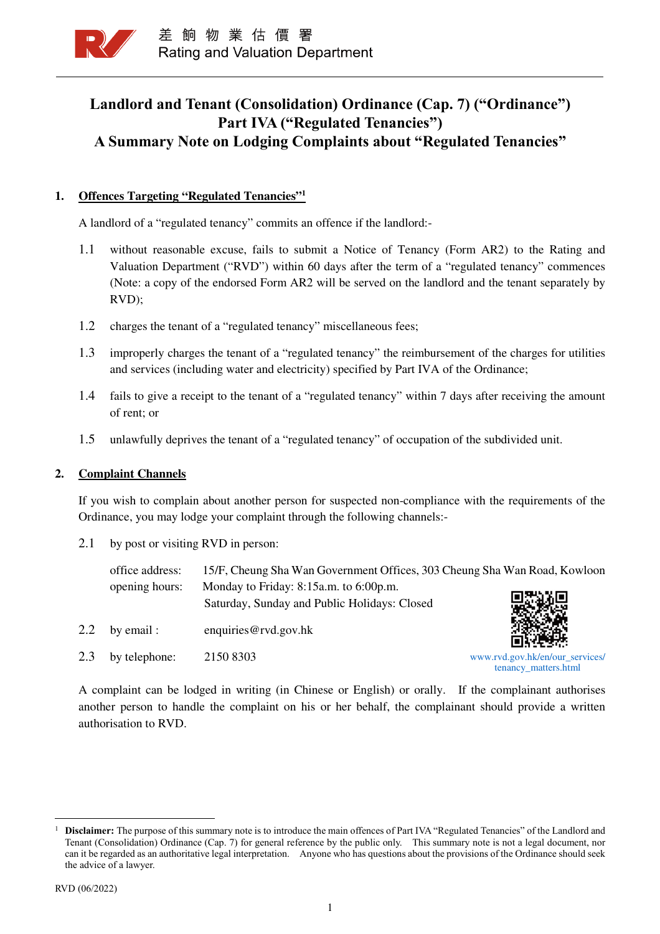

# **Landlord and Tenant (Consolidation) Ordinance (Cap. 7) ("Ordinance") Part IVA ("Regulated Tenancies") A Summary Note on Lodging Complaints about "Regulated Tenancies"**

### **1. Offences Targeting "Regulated Tenancies"<sup>1</sup>**

A landlord of a "regulated tenancy" commits an offence if the landlord:-

- 1.1 without reasonable excuse, fails to submit a Notice of Tenancy (Form AR2) to the Rating and Valuation Department ("RVD") within 60 days after the term of a "regulated tenancy" commences (Note: a copy of the endorsed Form AR2 will be served on the landlord and the tenant separately by RVD);
- 1.2 charges the tenant of a "regulated tenancy" miscellaneous fees;
- 1.3 improperly charges the tenant of a "regulated tenancy" the reimbursement of the charges for utilities and services (including water and electricity) specified by Part IVA of the Ordinance;
- 1.4 fails to give a receipt to the tenant of a "regulated tenancy" within 7 days after receiving the amount of rent; or
- 1.5 unlawfully deprives the tenant of a "regulated tenancy" of occupation of the subdivided unit.

### **2. Complaint Channels**

If you wish to complain about another person for suspected non-compliance with the requirements of the Ordinance, you may lodge your complaint through the following channels:-

2.1 by post or visiting RVD in person:

office address: 15/F, Cheung Sha Wan Government Offices, 303 Cheung Sha Wan Road, Kowloon opening hours: Monday to Friday: 8:15a.m. to 6:00p.m. Saturday, Sunday and Public Holidays: Closed

2.2 by email : enquiries @rvd.gov.hk



2.3 by telephone: 2150 8303

www.rvd.gov.hk/en/our\_services/ tenancy\_matters.html

A complaint can be lodged in writing (in Chinese or English) or orally. If the complainant authorises another person to handle the complaint on his or her behalf, the complainant should provide a written authorisation to RVD.

֦

<sup>1</sup> **Disclaimer:** The purpose of this summary note is to introduce the main offences of Part IVA "Regulated Tenancies" of the Landlord and Tenant (Consolidation) Ordinance (Cap. 7) for general reference by the public only. This summary note is not a legal document, nor can it be regarded as an authoritative legal interpretation. Anyone who has questions about the provisions of the Ordinance should seek the advice of a lawyer.